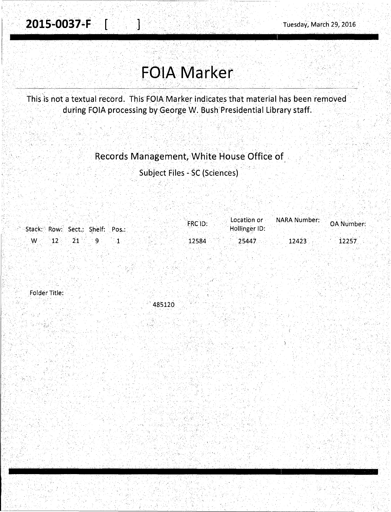I.

 $\lesssim$  , and

## **FOIA Marker**

This is not a textual record. This FOIA Marker indicates that material has been removed during FOIA processing by George W. Bush Presidential Library staff.

## Records Management, White House Office of

Subject Files~ SC (Sciences)

|                                        | FRC ID: | Location or   | <b>NARA Number: OA Number</b> |
|----------------------------------------|---------|---------------|-------------------------------|
| Stack: Row: Sect.; Shelf: Pos.:        |         | Hollinger ID: |                               |
| $\sim$ W $\sim$ 12 $\sim$ 21 $\sim$ 9. | 12584   | 25447         | 12423<br>12257                |
|                                        |         |               |                               |

Folder Title:

.·' 485120

'•".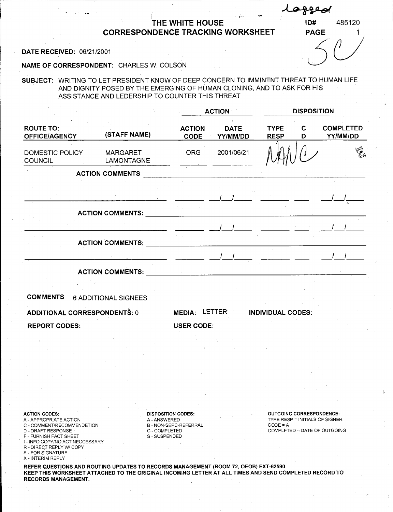## THE WHITE HOUSE CORRESPONDENCe TRACKING WORKSHEET DATE RECEIVED: 06/21/2001<br>DATE RECEIVED: 06/21/2001

lea

ID# 485120

NAME OF CORRESPONDENT: CHARLES W. COLSON

SUBJECT: WRITING TO LET PRESIDENT KNOW OF DEEP CONCERN TO IMMINENT THREAT TO HUMAN LIFE AND DIGNITY POSED BY THE EMERGING OF HUMAN CLONING, AND TO ASK FOR HIS ASSISTANCE AND LEDERSHIP TO COUNTER THIS THREAT

|                                          | (STAFF NAME)                                                                                                                                                                                                                   | <b>ACTION</b>                                                                                                                                                                                                                                                                                 |                                                                                                                               | <b>DISPOSITION</b>         |                  |                                                                                                                                                                                                                                                                                               |  |
|------------------------------------------|--------------------------------------------------------------------------------------------------------------------------------------------------------------------------------------------------------------------------------|-----------------------------------------------------------------------------------------------------------------------------------------------------------------------------------------------------------------------------------------------------------------------------------------------|-------------------------------------------------------------------------------------------------------------------------------|----------------------------|------------------|-----------------------------------------------------------------------------------------------------------------------------------------------------------------------------------------------------------------------------------------------------------------------------------------------|--|
| <b>ROUTE TO:</b><br><b>OFFICE/AGENCY</b> |                                                                                                                                                                                                                                | <b>ACTION</b><br><b>CODE</b>                                                                                                                                                                                                                                                                  | <b>DATE</b><br>YY/MM/DD                                                                                                       | <b>TYPE</b><br><b>RESP</b> | $\mathbf C$<br>D | <b>COMPLETED</b><br>YY/MM/DD                                                                                                                                                                                                                                                                  |  |
| DOMESTIC POLICY<br><b>COUNCIL</b>        | <b>MARGARET</b><br>LAMONTAGNE                                                                                                                                                                                                  | ORG                                                                                                                                                                                                                                                                                           | 2001/06/21                                                                                                                    |                            |                  | $\mathbb{Q}$                                                                                                                                                                                                                                                                                  |  |
|                                          | <b>ACTION COMMENTS</b>                                                                                                                                                                                                         |                                                                                                                                                                                                                                                                                               |                                                                                                                               |                            |                  |                                                                                                                                                                                                                                                                                               |  |
|                                          |                                                                                                                                                                                                                                |                                                                                                                                                                                                                                                                                               | $\frac{1}{2}$ , $\frac{1}{2}$ , $\frac{1}{2}$ , $\frac{1}{2}$ , $\frac{1}{2}$ , $\frac{1}{2}$ , $\frac{1}{2}$ , $\frac{1}{2}$ |                            |                  |                                                                                                                                                                                                                                                                                               |  |
|                                          | ACTION COMMENTS: NATIONAL SERVICE SERVICE SERVICE SERVICE SERVICE SERVICE SERVICE SERVICE SERVICE SERVICE SERVICE SERVICE SERVICE SERVICE SERVICE SERVICE SERVICE SERVICE SERVICE SERVICE SERVICE SERVICE SERVICE SERVICE SERV |                                                                                                                                                                                                                                                                                               |                                                                                                                               |                            |                  |                                                                                                                                                                                                                                                                                               |  |
|                                          |                                                                                                                                                                                                                                | $\frac{1}{2}$ and $\frac{1}{2}$ and $\frac{1}{2}$ and $\frac{1}{2}$ and $\frac{1}{2}$ and $\frac{1}{2}$ and $\frac{1}{2}$ and $\frac{1}{2}$ and $\frac{1}{2}$ and $\frac{1}{2}$ and $\frac{1}{2}$ and $\frac{1}{2}$ and $\frac{1}{2}$ and $\frac{1}{2}$ and $\frac{1}{2}$ and $\frac{1}{2}$ a |                                                                                                                               |                            |                  |                                                                                                                                                                                                                                                                                               |  |
|                                          |                                                                                                                                                                                                                                |                                                                                                                                                                                                                                                                                               |                                                                                                                               |                            |                  |                                                                                                                                                                                                                                                                                               |  |
|                                          |                                                                                                                                                                                                                                |                                                                                                                                                                                                                                                                                               |                                                                                                                               |                            |                  | $\frac{1}{2}$ and $\frac{1}{2}$ and $\frac{1}{2}$ and $\frac{1}{2}$ and $\frac{1}{2}$ and $\frac{1}{2}$ and $\frac{1}{2}$ and $\frac{1}{2}$ and $\frac{1}{2}$ and $\frac{1}{2}$ and $\frac{1}{2}$ and $\frac{1}{2}$ and $\frac{1}{2}$ and $\frac{1}{2}$ and $\frac{1}{2}$ and $\frac{1}{2}$ a |  |
|                                          | ACTION COMMENTS: University of the community of the contract of the contract of the contract of the contract of the contract of the contract of the contract of the contract of the contract of the contract of the contract o |                                                                                                                                                                                                                                                                                               |                                                                                                                               |                            |                  |                                                                                                                                                                                                                                                                                               |  |
| <b>COMMENTS</b>                          | <b>6 ADDITIONAL SIGNEES</b>                                                                                                                                                                                                    |                                                                                                                                                                                                                                                                                               |                                                                                                                               |                            |                  |                                                                                                                                                                                                                                                                                               |  |
| <b>ADDITIONAL CORRESPONDENTS: 0</b>      |                                                                                                                                                                                                                                | MEDIA: LETTER                                                                                                                                                                                                                                                                                 |                                                                                                                               | <b>INDIVIDUAL CODES:</b>   |                  |                                                                                                                                                                                                                                                                                               |  |
| <b>REPORT CODES:</b>                     | <b>USER CODE:</b>                                                                                                                                                                                                              |                                                                                                                                                                                                                                                                                               |                                                                                                                               |                            |                  |                                                                                                                                                                                                                                                                                               |  |
|                                          |                                                                                                                                                                                                                                |                                                                                                                                                                                                                                                                                               |                                                                                                                               |                            |                  |                                                                                                                                                                                                                                                                                               |  |
|                                          |                                                                                                                                                                                                                                |                                                                                                                                                                                                                                                                                               |                                                                                                                               |                            |                  |                                                                                                                                                                                                                                                                                               |  |
|                                          |                                                                                                                                                                                                                                |                                                                                                                                                                                                                                                                                               |                                                                                                                               |                            |                  |                                                                                                                                                                                                                                                                                               |  |
|                                          |                                                                                                                                                                                                                                |                                                                                                                                                                                                                                                                                               |                                                                                                                               |                            |                  |                                                                                                                                                                                                                                                                                               |  |
|                                          |                                                                                                                                                                                                                                |                                                                                                                                                                                                                                                                                               |                                                                                                                               |                            |                  |                                                                                                                                                                                                                                                                                               |  |
|                                          |                                                                                                                                                                                                                                |                                                                                                                                                                                                                                                                                               |                                                                                                                               |                            |                  |                                                                                                                                                                                                                                                                                               |  |
| ACTION CODE                              |                                                                                                                                                                                                                                | <b>OUTCOING CORRESPONDENCE</b>                                                                                                                                                                                                                                                                |                                                                                                                               |                            |                  |                                                                                                                                                                                                                                                                                               |  |

ACTION CODES:

- A-APPROPRIATE ACTION C - COMMENT/RECOMMENDETION
- D DRAFT RESPONSE
- F FURNISH FACT SHEET
- , I INFO COPY/NO ACT NECCESSARY
- R DIRECT REPLY W/ COPY
- S FOR SIGNATURE
- X INTERIM REPLY

TION CO

- A-ANSWERED
- B NON-SEPC-REFERRAL
- C COMPLETED

S-SUSPENDED

DING CORRESPONDENCE TYPE RESP= INITIALS OF SIGNER CODE=A COMPLETED= DATE OF OUTGOING

REFER QUESTIONS AND ROUTING UPDATES TO RECORDS MANAGEMENT (ROOM 72, OEOB) EXT-62590 KEEP THIS WORKSHEET ATTACHED TO THE ORIGINAL INCOMING LETTER AT ALL TIMES AND SEND COMPLETED RECORD TO RECORDS MANAGEMENT.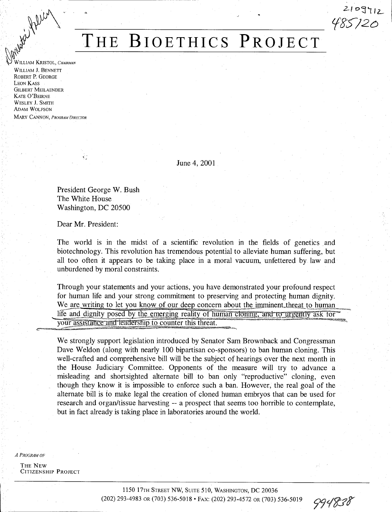

## WALLIAM KRISTOL, *CHAIRMAN* **THE BIOETHICS PROJECT THE BIOETHICS PROJECT**

WILLIAM J. BENNETT ROBERT P. GEORGE LEON KASS GILBERT MEILAENDER KATE O'BEIRNE WESLEY *1.* SMITH ADAM WOLFSON MARY CANNON, PROGRAM DIRECTOR

June 4, 2001

President George W. Bush The White House Washington, DC 20500

Dear Mr. President:

¢.

The world is in the midst of a scientific revolution in the fields of genetics and biotechnology. This revolution has tremendous potential to alleviate human suffering, but all too often it appears to be taking place in a moral vacuum, unfettered by law and unburdened by moral constraints.

Through your statements and your actions, you have demonstrated your profound respect for human life and your strong commitment to preserving and protecting human dignity.<br>We are writing to let you know of our deep concern about the imminent threat to human life and dignity posed by the emerging reality of human cloning, and to urgently ask for your assistance and leadership to counter this threat.

We strongly support legislation introduced by Senator Sam Brownback and Congressman Dave Weldon (along with nearly 100 bipartisan co-sponsors) to ban human cloning. This well-crafted and comprehensive bill will be the subject of hearings over the next month in the House Judiciary Committee. Opponents of the measure will try to advance a misleading and shortsighted alternate bill to ban only "reproductive" cloning, even though they know it is impossible to enforce such a ban. However, the real goal of the alternate bill is to make legal the creation of cloned human embryos that can be used for research and organ/tissue harvesting -- a prospect that seems too horrible to contemplate, but in fact already is taking place in laboratories around the world.

*A PROGRAM OF* 

THE NEW CITIZENSHIP PROJECT

2109712<br>485/20